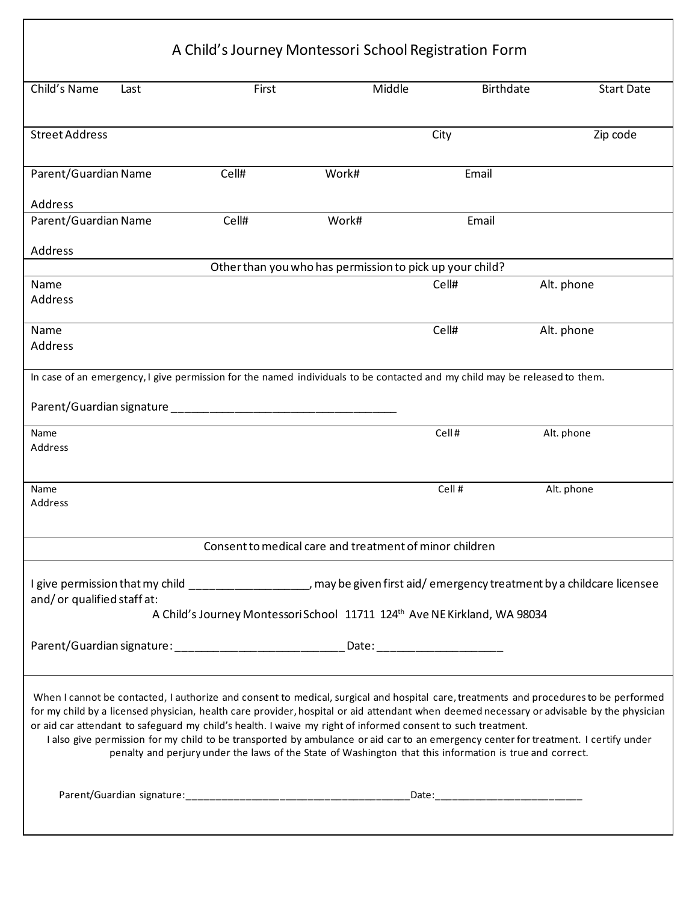|                             |      | A Child's Journey Montessori School Registration Form                                                                                                                                                                                                                                                                                                                                                                                                                                                                                                                                                                                                 |       |        |                  |            |                   |
|-----------------------------|------|-------------------------------------------------------------------------------------------------------------------------------------------------------------------------------------------------------------------------------------------------------------------------------------------------------------------------------------------------------------------------------------------------------------------------------------------------------------------------------------------------------------------------------------------------------------------------------------------------------------------------------------------------------|-------|--------|------------------|------------|-------------------|
| Child's Name                | Last | First                                                                                                                                                                                                                                                                                                                                                                                                                                                                                                                                                                                                                                                 |       | Middle | <b>Birthdate</b> |            | <b>Start Date</b> |
| <b>Street Address</b>       |      |                                                                                                                                                                                                                                                                                                                                                                                                                                                                                                                                                                                                                                                       |       | City   |                  |            | Zip code          |
| Parent/Guardian Name        |      | Cell#                                                                                                                                                                                                                                                                                                                                                                                                                                                                                                                                                                                                                                                 | Work# |        | Email            |            |                   |
| Address                     |      |                                                                                                                                                                                                                                                                                                                                                                                                                                                                                                                                                                                                                                                       |       |        |                  |            |                   |
| Parent/Guardian Name        |      | Cell#                                                                                                                                                                                                                                                                                                                                                                                                                                                                                                                                                                                                                                                 | Work# |        | Email            |            |                   |
| Address                     |      |                                                                                                                                                                                                                                                                                                                                                                                                                                                                                                                                                                                                                                                       |       |        |                  |            |                   |
|                             |      | Other than you who has permission to pick up your child?                                                                                                                                                                                                                                                                                                                                                                                                                                                                                                                                                                                              |       |        |                  |            |                   |
| Name<br>Address             |      |                                                                                                                                                                                                                                                                                                                                                                                                                                                                                                                                                                                                                                                       |       | Cell#  |                  | Alt. phone |                   |
| Name<br>Address             |      |                                                                                                                                                                                                                                                                                                                                                                                                                                                                                                                                                                                                                                                       |       | Cell#  |                  | Alt. phone |                   |
| Name<br>Address             |      |                                                                                                                                                                                                                                                                                                                                                                                                                                                                                                                                                                                                                                                       |       |        | Cell#            | Alt. phone |                   |
| Name<br>Address             |      |                                                                                                                                                                                                                                                                                                                                                                                                                                                                                                                                                                                                                                                       |       |        | Cell #           | Alt. phone |                   |
|                             |      | Consent to medical care and treatment of minor children                                                                                                                                                                                                                                                                                                                                                                                                                                                                                                                                                                                               |       |        |                  |            |                   |
| and/ or qualified staff at: |      | I give permission that my child ____________________ may be given first aid/emergency treatment by a childcare licensee<br>A Child's Journey Montessori School 11711 124th Ave NE Kirkland, WA 98034                                                                                                                                                                                                                                                                                                                                                                                                                                                  |       |        |                  |            |                   |
|                             |      |                                                                                                                                                                                                                                                                                                                                                                                                                                                                                                                                                                                                                                                       |       |        |                  |            |                   |
|                             |      | Parent/Guardian signature: _________________________________Date: _______________                                                                                                                                                                                                                                                                                                                                                                                                                                                                                                                                                                     |       |        |                  |            |                   |
|                             |      | When I cannot be contacted, I authorize and consent to medical, surgical and hospital care, treatments and procedures to be performed<br>for my child by a licensed physician, health care provider, hospital or aid attendant when deemed necessary or advisable by the physician<br>or aid car attendant to safeguard my child's health. I waive my right of informed consent to such treatment.<br>I also give permission for my child to be transported by ambulance or aid car to an emergency center for treatment. I certify under<br>penalty and perjury under the laws of the State of Washington that this information is true and correct. |       |        |                  |            |                   |
|                             |      |                                                                                                                                                                                                                                                                                                                                                                                                                                                                                                                                                                                                                                                       |       |        |                  |            |                   |
|                             |      |                                                                                                                                                                                                                                                                                                                                                                                                                                                                                                                                                                                                                                                       |       |        |                  |            |                   |